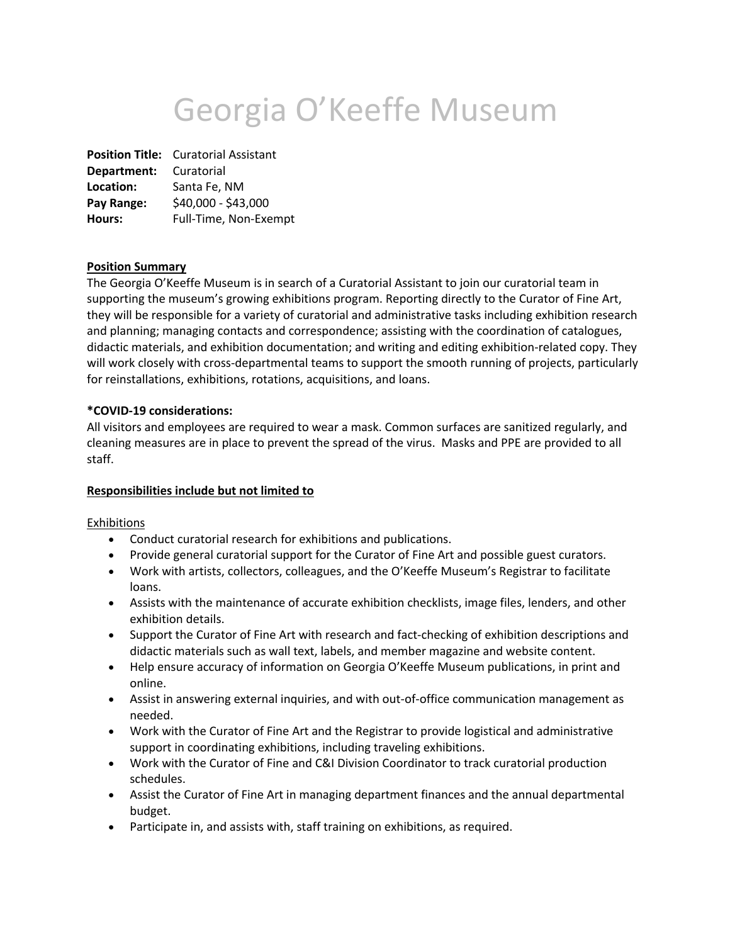# Georgia O'Keeffe Museum

**Position Title:** Curatorial Assistant **Department:** Curatorial **Location:** Santa Fe, NM **Pay Range:** \$40,000 - \$43,000 **Hours:** Full-Time, Non-Exempt

## **Position Summary**

The Georgia O'Keeffe Museum is in search of a Curatorial Assistant to join our curatorial team in supporting the museum's growing exhibitions program. Reporting directly to the Curator of Fine Art, they will be responsible for a variety of curatorial and administrative tasks including exhibition research and planning; managing contacts and correspondence; assisting with the coordination of catalogues, didactic materials, and exhibition documentation; and writing and editing exhibition-related copy. They will work closely with cross-departmental teams to support the smooth running of projects, particularly for reinstallations, exhibitions, rotations, acquisitions, and loans.

#### **\*COVID-19 considerations:**

All visitors and employees are required to wear a mask. Common surfaces are sanitized regularly, and cleaning measures are in place to prevent the spread of the virus. Masks and PPE are provided to all staff.

#### **Responsibilities include but not limited to**

Exhibitions

- Conduct curatorial research for exhibitions and publications.
- Provide general curatorial support for the Curator of Fine Art and possible guest curators.
- Work with artists, collectors, colleagues, and the O'Keeffe Museum's Registrar to facilitate loans.
- Assists with the maintenance of accurate exhibition checklists, image files, lenders, and other exhibition details.
- Support the Curator of Fine Art with research and fact-checking of exhibition descriptions and didactic materials such as wall text, labels, and member magazine and website content.
- Help ensure accuracy of information on Georgia O'Keeffe Museum publications, in print and online.
- Assist in answering external inquiries, and with out-of-office communication management as needed.
- Work with the Curator of Fine Art and the Registrar to provide logistical and administrative support in coordinating exhibitions, including traveling exhibitions.
- Work with the Curator of Fine and C&I Division Coordinator to track curatorial production schedules.
- Assist the Curator of Fine Art in managing department finances and the annual departmental budget.
- Participate in, and assists with, staff training on exhibitions, as required.